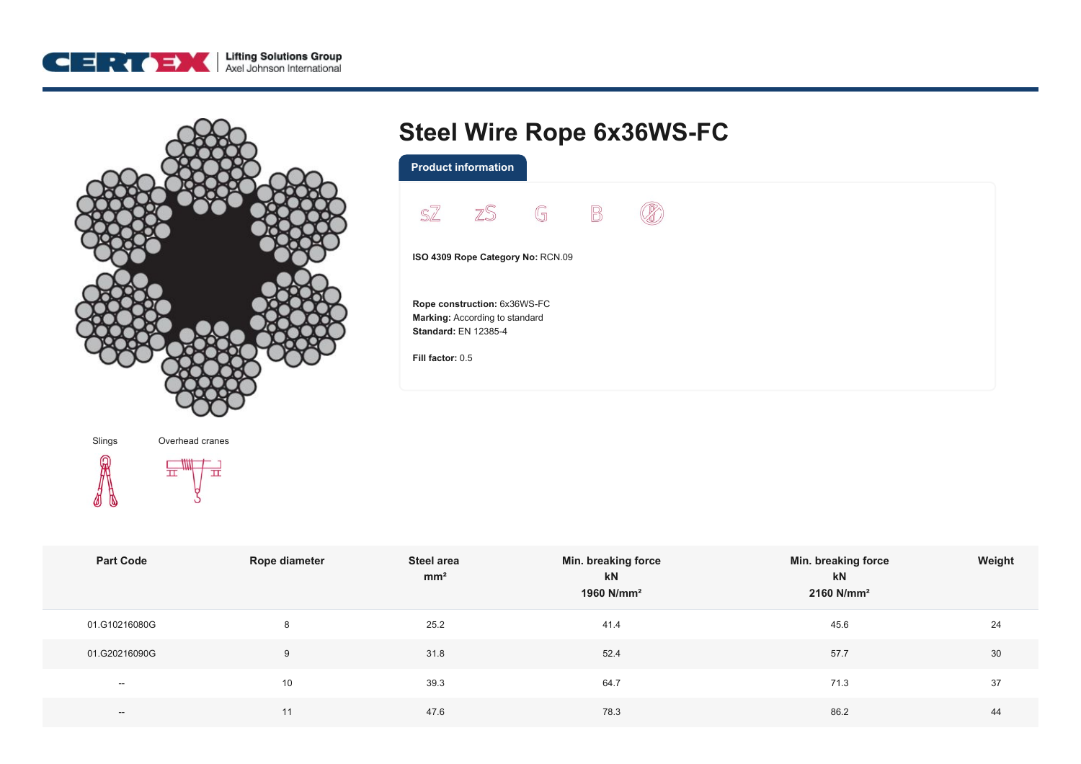



## **Steel Wire Rope 6x36WS-FC**

|                                   | SZ ZS G B                                                     |  |  |  |  |
|-----------------------------------|---------------------------------------------------------------|--|--|--|--|
|                                   |                                                               |  |  |  |  |
|                                   |                                                               |  |  |  |  |
| ISO 4309 Rope Category No: RCN.09 |                                                               |  |  |  |  |
|                                   |                                                               |  |  |  |  |
|                                   |                                                               |  |  |  |  |
|                                   | Rope construction: 6x36WS-FC                                  |  |  |  |  |
|                                   | Marking: According to standard<br><b>Standard: EN 12385-4</b> |  |  |  |  |



| <b>Part Code</b> | <b>Rope diameter</b> | Steel area<br>mm <sup>2</sup> | Min. breaking force<br>kN<br>1960 N/mm <sup>2</sup> | Min. breaking force<br>kN<br>$2160$ N/mm <sup>2</sup> | Weight |
|------------------|----------------------|-------------------------------|-----------------------------------------------------|-------------------------------------------------------|--------|
| 01.G10216080G    | 8                    | 25.2                          | 41.4                                                | 45.6                                                  | 24     |
| 01.G20216090G    | 9                    | 31.8                          | 52.4                                                | 57.7                                                  | 30     |
| $\sim$           | 10 <sup>°</sup>      | 39.3                          | 64.7                                                | 71.3                                                  | 37     |
| $\sim$           | 11                   | 47.6                          | 78.3                                                | 86.2                                                  | 44     |